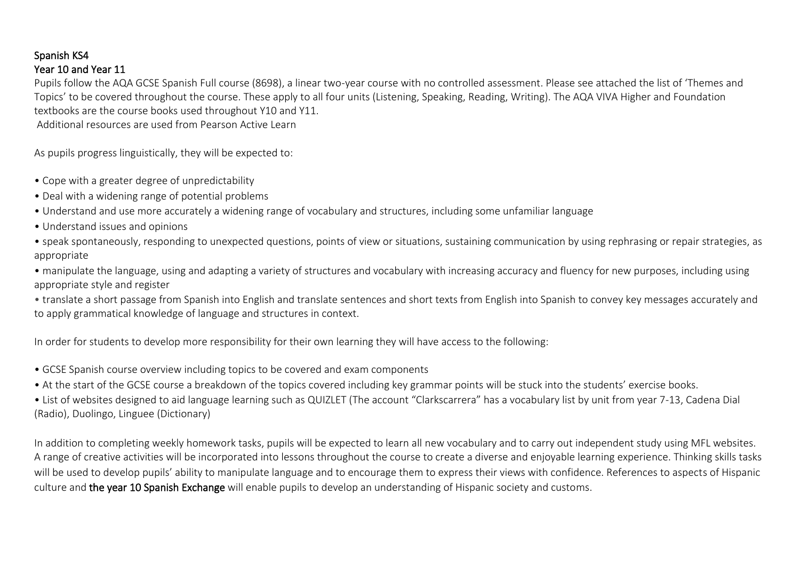## Spanish KS4 Year 10 and Year 11

Pupils follow the AQA GCSE Spanish Full course (8698), a linear two-year course with no controlled assessment. Please see attached the list of 'Themes and Topics' to be covered throughout the course. These apply to all four units (Listening, Speaking, Reading, Writing). The AQA VIVA Higher and Foundation textbooks are the course books used throughout Y10 and Y11. Additional resources are used from Pearson Active Learn

As pupils progress linguistically, they will be expected to:

- Cope with a greater degree of unpredictability
- Deal with a widening range of potential problems
- Understand and use more accurately a widening range of vocabulary and structures, including some unfamiliar language
- Understand issues and opinions
- speak spontaneously, responding to unexpected questions, points of view or situations, sustaining communication by using rephrasing or repair strategies, as appropriate
- manipulate the language, using and adapting a variety of structures and vocabulary with increasing accuracy and fluency for new purposes, including using appropriate style and register
- translate a short passage from Spanish into English and translate sentences and short texts from English into Spanish to convey key messages accurately and to apply grammatical knowledge of language and structures in context.

In order for students to develop more responsibility for their own learning they will have access to the following:

- GCSE Spanish course overview including topics to be covered and exam components
- At the start of the GCSE course a breakdown of the topics covered including key grammar points will be stuck into the students' exercise books.

• List of websites designed to aid language learning such as QUIZLET (The account "Clarkscarrera" has a vocabulary list by unit from year 7-13, Cadena Dial (Radio), Duolingo, Linguee (Dictionary)

In addition to completing weekly homework tasks, pupils will be expected to learn all new vocabulary and to carry out independent study using MFL websites. A range of creative activities will be incorporated into lessons throughout the course to create a diverse and enjoyable learning experience. Thinking skills tasks will be used to develop pupils' ability to manipulate language and to encourage them to express their views with confidence. References to aspects of Hispanic culture and the year 10 Spanish Exchange will enable pupils to develop an understanding of Hispanic society and customs.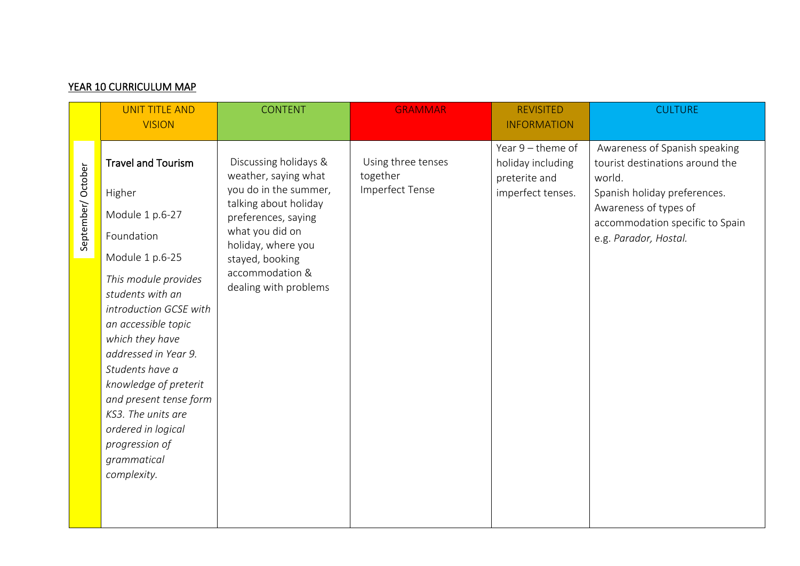|                   | <b>UNIT TITLE AND</b>                                                                                                                                                                                                                                                                                                                                                                             | <b>CONTENT</b>                                                                                                                                                                                                                 | <b>GRAMMAR</b>                                    | <b>REVISITED</b>                                                             | <b>CULTURE</b>                                                                                                                                                                                  |
|-------------------|---------------------------------------------------------------------------------------------------------------------------------------------------------------------------------------------------------------------------------------------------------------------------------------------------------------------------------------------------------------------------------------------------|--------------------------------------------------------------------------------------------------------------------------------------------------------------------------------------------------------------------------------|---------------------------------------------------|------------------------------------------------------------------------------|-------------------------------------------------------------------------------------------------------------------------------------------------------------------------------------------------|
|                   | <b>VISION</b>                                                                                                                                                                                                                                                                                                                                                                                     |                                                                                                                                                                                                                                |                                                   | <b>INFORMATION</b>                                                           |                                                                                                                                                                                                 |
| September/October | <b>Travel and Tourism</b><br>Higher<br>Module 1 p.6-27<br>Foundation<br>Module 1 p.6-25<br>This module provides<br>students with an<br>introduction GCSE with<br>an accessible topic<br>which they have<br>addressed in Year 9.<br>Students have a<br>knowledge of preterit<br>and present tense form<br>KS3. The units are<br>ordered in logical<br>progression of<br>grammatical<br>complexity. | Discussing holidays &<br>weather, saying what<br>you do in the summer,<br>talking about holiday<br>preferences, saying<br>what you did on<br>holiday, where you<br>stayed, booking<br>accommodation &<br>dealing with problems | Using three tenses<br>together<br>Imperfect Tense | Year 9 - theme of<br>holiday including<br>preterite and<br>imperfect tenses. | Awareness of Spanish speaking<br>tourist destinations around the<br>world.<br>Spanish holiday preferences.<br>Awareness of types of<br>accommodation specific to Spain<br>e.g. Parador, Hostal. |

## YEAR 10 CURRICULUM MAP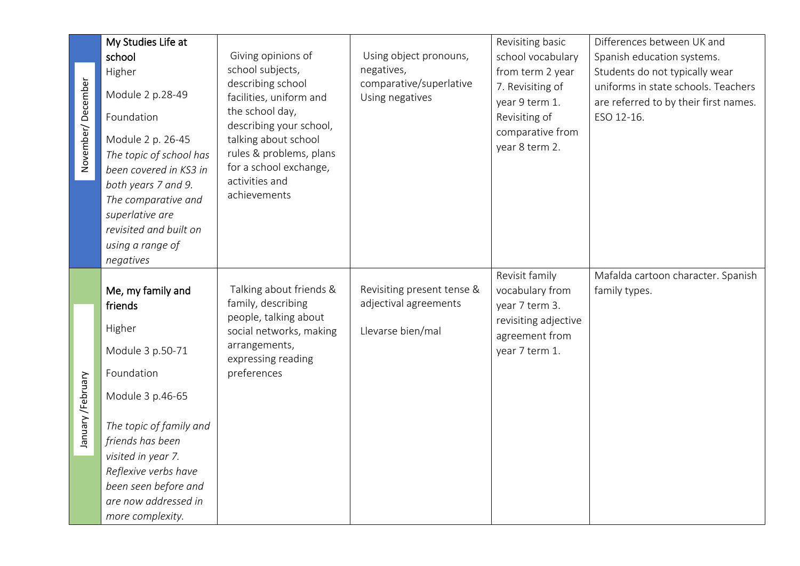|                    | My Studies Life at      |                                                                                            |                                            | Revisiting basic                                                        | Differences between UK and                                                                 |
|--------------------|-------------------------|--------------------------------------------------------------------------------------------|--------------------------------------------|-------------------------------------------------------------------------|--------------------------------------------------------------------------------------------|
|                    | school                  | Giving opinions of                                                                         | Using object pronouns,                     | school vocabulary                                                       | Spanish education systems.                                                                 |
|                    | Higher                  | school subjects,                                                                           | negatives,                                 | from term 2 year                                                        | Students do not typically wear                                                             |
| November/December  | Module 2 p.28-49        | describing school<br>facilities, uniform and<br>the school day,<br>describing your school, | comparative/superlative<br>Using negatives | 7. Revisiting of<br>year 9 term 1.<br>Revisiting of<br>comparative from | uniforms in state schools. Teachers<br>are referred to by their first names.<br>ESO 12-16. |
|                    | Foundation              |                                                                                            |                                            |                                                                         |                                                                                            |
|                    | Module 2 p. 26-45       | talking about school                                                                       |                                            | year 8 term 2.                                                          |                                                                                            |
|                    | The topic of school has | rules & problems, plans                                                                    |                                            |                                                                         |                                                                                            |
|                    | been covered in KS3 in  | for a school exchange,                                                                     |                                            |                                                                         |                                                                                            |
|                    | both years 7 and 9.     | activities and                                                                             |                                            |                                                                         |                                                                                            |
|                    | The comparative and     | achievements                                                                               |                                            |                                                                         |                                                                                            |
|                    | superlative are         |                                                                                            |                                            |                                                                         |                                                                                            |
|                    | revisited and built on  |                                                                                            |                                            |                                                                         |                                                                                            |
|                    | using a range of        |                                                                                            |                                            |                                                                         |                                                                                            |
|                    | negatives               |                                                                                            |                                            |                                                                         |                                                                                            |
|                    |                         |                                                                                            |                                            | Revisit family                                                          | Mafalda cartoon character. Spanish                                                         |
|                    | Me, my family and       | Talking about friends &                                                                    | Revisiting present tense &                 | vocabulary from                                                         | family types.                                                                              |
|                    | friends                 | family, describing<br>people, talking about                                                | adjectival agreements                      | year 7 term 3.                                                          |                                                                                            |
|                    |                         |                                                                                            |                                            | revisiting adjective                                                    |                                                                                            |
|                    | Higher                  | social networks, making                                                                    | Llevarse bien/mal                          | agreement from                                                          |                                                                                            |
|                    | Module 3 p.50-71        | arrangements,<br>expressing reading                                                        |                                            | year 7 term 1.                                                          |                                                                                            |
|                    | Foundation              | preferences                                                                                |                                            |                                                                         |                                                                                            |
|                    | Module 3 p.46-65        |                                                                                            |                                            |                                                                         |                                                                                            |
|                    | The topic of family and |                                                                                            |                                            |                                                                         |                                                                                            |
| January / February | friends has been        |                                                                                            |                                            |                                                                         |                                                                                            |
|                    | visited in year 7.      |                                                                                            |                                            |                                                                         |                                                                                            |
|                    | Reflexive verbs have    |                                                                                            |                                            |                                                                         |                                                                                            |
|                    | been seen before and    |                                                                                            |                                            |                                                                         |                                                                                            |
|                    | are now addressed in    |                                                                                            |                                            |                                                                         |                                                                                            |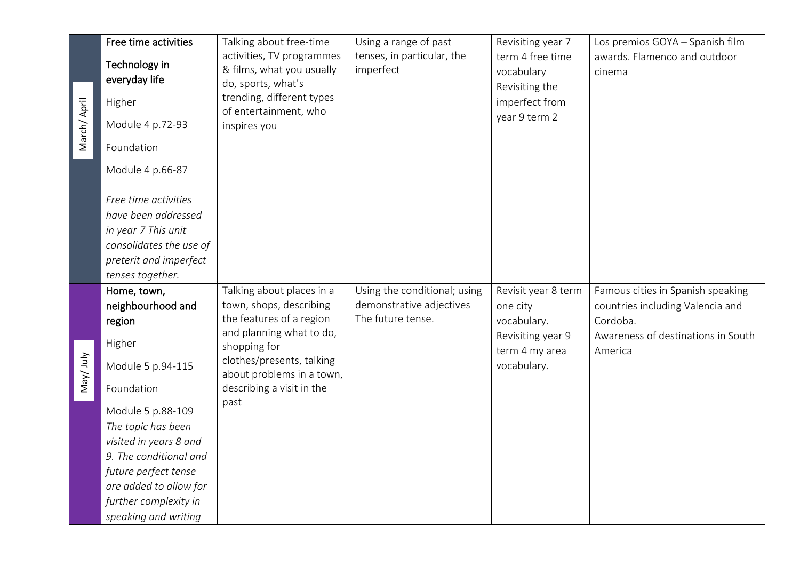| March/April | Free time activities<br>Technology in<br>everyday life<br>Higher<br>Module 4 p.72-93                                                                                                                                                                                                      | Talking about free-time<br>activities, TV programmes<br>& films, what you usually<br>do, sports, what's<br>trending, different types<br>of entertainment, who<br>inspires you                                               | Using a range of past<br>tenses, in particular, the<br>imperfect              | Revisiting year 7<br>term 4 free time<br>vocabulary<br>Revisiting the<br>imperfect from<br>year 9 term 2 | Los premios GOYA - Spanish film<br>awards. Flamenco and outdoor<br>cinema                                                          |
|-------------|-------------------------------------------------------------------------------------------------------------------------------------------------------------------------------------------------------------------------------------------------------------------------------------------|-----------------------------------------------------------------------------------------------------------------------------------------------------------------------------------------------------------------------------|-------------------------------------------------------------------------------|----------------------------------------------------------------------------------------------------------|------------------------------------------------------------------------------------------------------------------------------------|
|             | Foundation<br>Module 4 p.66-87<br>Free time activities<br>have been addressed<br>in year 7 This unit<br>consolidates the use of<br>preterit and imperfect<br>tenses together.                                                                                                             |                                                                                                                                                                                                                             |                                                                               |                                                                                                          |                                                                                                                                    |
| May/July    | Home, town,<br>neighbourhood and<br>region<br>Higher<br>Module 5 p.94-115<br>Foundation<br>Module 5 p.88-109<br>The topic has been<br>visited in years 8 and<br>9. The conditional and<br>future perfect tense<br>are added to allow for<br>further complexity in<br>speaking and writing | Talking about places in a<br>town, shops, describing<br>the features of a region<br>and planning what to do,<br>shopping for<br>clothes/presents, talking<br>about problems in a town,<br>describing a visit in the<br>past | Using the conditional; using<br>demonstrative adjectives<br>The future tense. | Revisit year 8 term<br>one city<br>vocabulary.<br>Revisiting year 9<br>term 4 my area<br>vocabulary.     | Famous cities in Spanish speaking<br>countries including Valencia and<br>Cordoba.<br>Awareness of destinations in South<br>America |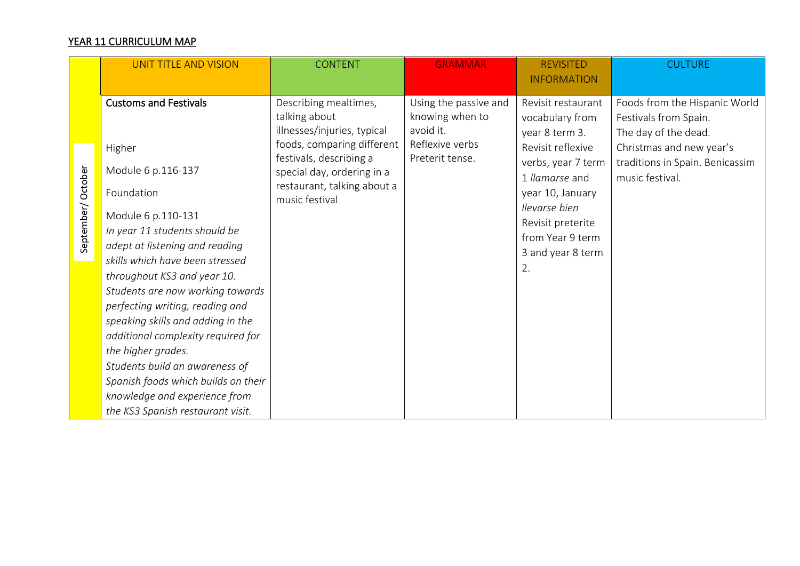## YEAR 11 CURRICULUM MAP

|                   | <b>UNIT TITLE AND VISION</b>        | <b>CONTENT</b>                                                              | <b>GRAMMAR</b>                                                           | <b>REVISITED</b><br><b>INFORMATION</b>                  | <b>CULTURE</b>                                                                 |
|-------------------|-------------------------------------|-----------------------------------------------------------------------------|--------------------------------------------------------------------------|---------------------------------------------------------|--------------------------------------------------------------------------------|
|                   | <b>Customs and Festivals</b>        | Describing mealtimes,<br>talking about<br>illnesses/injuries, typical       | Using the passive and<br>knowing when to<br>avoid it.<br>Reflexive verbs | Revisit restaurant<br>vocabulary from<br>year 8 term 3. | Foods from the Hispanic World<br>Festivals from Spain.<br>The day of the dead. |
|                   | Higher                              | foods, comparing different<br>festivals, describing a                       | Preterit tense.                                                          | Revisit reflexive<br>verbs, year 7 term                 | Christmas and new year's<br>traditions in Spain. Benicassim                    |
| September/October | Module 6 p.116-137<br>Foundation    | special day, ordering in a<br>restaurant, talking about a<br>music festival |                                                                          | 1 llamarse and<br>year 10, January                      | music festival.                                                                |
|                   | Module 6 p.110-131                  |                                                                             |                                                                          | llevarse bien                                           |                                                                                |
|                   | In year 11 students should be       |                                                                             |                                                                          | Revisit preterite<br>from Year 9 term                   |                                                                                |
|                   | adept at listening and reading      |                                                                             |                                                                          | 3 and year 8 term                                       |                                                                                |
|                   | skills which have been stressed     |                                                                             |                                                                          | 2.                                                      |                                                                                |
|                   | throughout KS3 and year 10.         |                                                                             |                                                                          |                                                         |                                                                                |
|                   | Students are now working towards    |                                                                             |                                                                          |                                                         |                                                                                |
|                   | perfecting writing, reading and     |                                                                             |                                                                          |                                                         |                                                                                |
|                   | speaking skills and adding in the   |                                                                             |                                                                          |                                                         |                                                                                |
|                   | additional complexity required for  |                                                                             |                                                                          |                                                         |                                                                                |
|                   | the higher grades.                  |                                                                             |                                                                          |                                                         |                                                                                |
|                   | Students build an awareness of      |                                                                             |                                                                          |                                                         |                                                                                |
|                   | Spanish foods which builds on their |                                                                             |                                                                          |                                                         |                                                                                |
|                   | knowledge and experience from       |                                                                             |                                                                          |                                                         |                                                                                |
|                   | the KS3 Spanish restaurant visit.   |                                                                             |                                                                          |                                                         |                                                                                |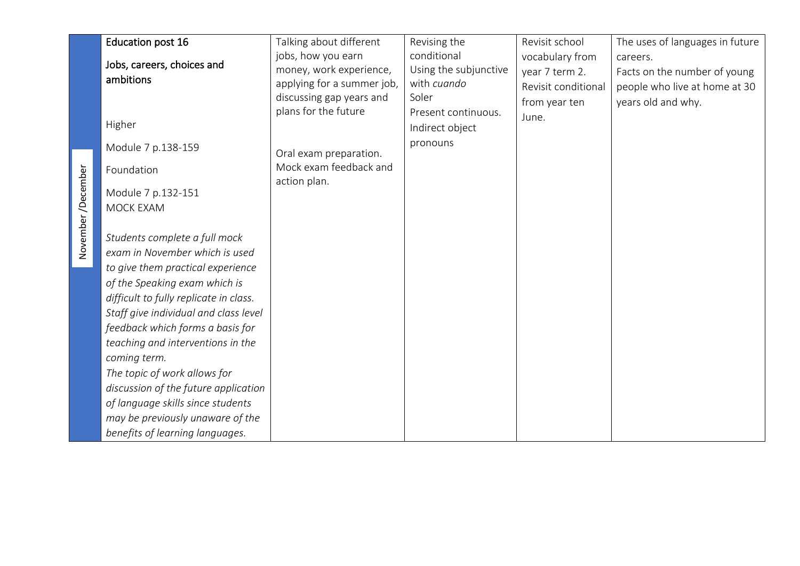|                   | <b>Education post 16</b>               | Talking about different    | Revising the          | Revisit school      | The uses of languages in future |
|-------------------|----------------------------------------|----------------------------|-----------------------|---------------------|---------------------------------|
|                   |                                        | jobs, how you earn         | conditional           | vocabulary from     | careers.                        |
|                   | Jobs, careers, choices and             | money, work experience,    | Using the subjunctive | year 7 term 2.      | Facts on the number of young    |
|                   | ambitions                              | applying for a summer job, | with cuando           | Revisit conditional | people who live at home at 30   |
|                   |                                        | discussing gap years and   | Soler                 | from year ten       | years old and why.              |
|                   | Higher                                 | plans for the future       | Present continuous.   | June.               |                                 |
|                   |                                        |                            | Indirect object       |                     |                                 |
|                   | Module 7 p.138-159                     | Oral exam preparation.     | pronouns              |                     |                                 |
|                   | Foundation                             | Mock exam feedback and     |                       |                     |                                 |
| November/December |                                        | action plan.               |                       |                     |                                 |
|                   | Module 7 p.132-151<br><b>MOCK EXAM</b> |                            |                       |                     |                                 |
|                   |                                        |                            |                       |                     |                                 |
|                   | Students complete a full mock          |                            |                       |                     |                                 |
|                   | exam in November which is used         |                            |                       |                     |                                 |
|                   | to give them practical experience      |                            |                       |                     |                                 |
|                   | of the Speaking exam which is          |                            |                       |                     |                                 |
|                   | difficult to fully replicate in class. |                            |                       |                     |                                 |
|                   | Staff give individual and class level  |                            |                       |                     |                                 |
|                   | feedback which forms a basis for       |                            |                       |                     |                                 |
|                   | teaching and interventions in the      |                            |                       |                     |                                 |
|                   | coming term.                           |                            |                       |                     |                                 |
|                   | The topic of work allows for           |                            |                       |                     |                                 |
|                   | discussion of the future application   |                            |                       |                     |                                 |
|                   | of language skills since students      |                            |                       |                     |                                 |
|                   | may be previously unaware of the       |                            |                       |                     |                                 |
|                   | benefits of learning languages.        |                            |                       |                     |                                 |